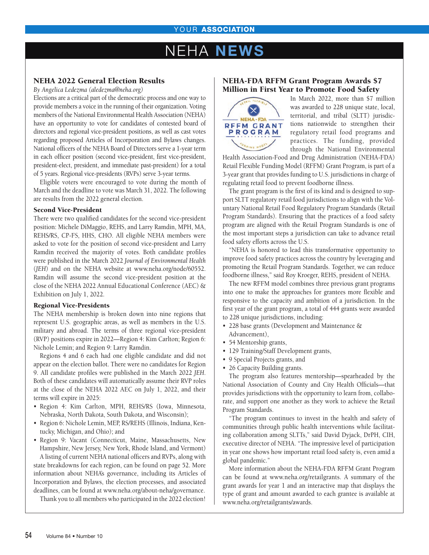# **EHA NEWS**

# NEHA 2022 General Election Results

*By Angelica Ledezma (aledezma@neha.org)*

Elections are a critical part of the democratic process and one way to provide members a voice in the running of their organization. Voting members of the National Environmental Health Association (NEHA) have an opportunity to vote for candidates of contested board of directors and regional vice-president positions, as well as cast votes regarding proposed Articles of Incorporation and Bylaws changes. National officers of the NEHA Board of Directors serve a 1-year term in each officer position (second vice-president, first vice-president, president-elect, president, and immediate past-president) for a total of 5 years. Regional vice-presidents (RVPs) serve 3-year terms.

Eligible voters were encouraged to vote during the month of March and the deadline to vote was March 31, 2022. The following are results from the 2022 general election.

### Second Vice-President

There were two qualified candidates for the second vice-president position: Michele DiMaggio, REHS, and Larry Ramdin, MPH, MA, REHS/RS, CP-FS, HHS, CHO. All eligible NEHA members were asked to vote for the position of second vice-president and Larry Ramdin received the majority of votes. Both candidate profiles were published in the March 2022 *Journal of Environmental Health* (*JEH*) and on the NEHA website at www.neha.org/node/60552. Ramdin will assume the second vice-president position at the close of the NEHA 2022 Annual Educational Conference (AEC) & Exhibition on July 1, 2022.

### Regional Vice-Presidents

The NEHA membership is broken down into nine regions that represent U.S. geographic areas, as well as members in the U.S. military and abroad. The terms of three regional vice-president (RVP) positions expire in 2022—Region 4: Kim Carlton; Region 6: Nichole Lemin; and Region 9: Larry Ramdin.

Regions 4 and 6 each had one eligible candidate and did not appear on the election ballot. There were no candidates for Region 9. All candidate profiles were published in the March 2022 *JEH*. Both of these candidates will automatically assume their RVP roles at the close of the NEHA 2022 AEC on July 1, 2022, and their terms will expire in 2025:

- Region 4: Kim Carlton, MPH, REHS/RS (Iowa, Minnesota, Nebraska, North Dakota, South Dakota, and Wisconsin);
- Region 6: Nichole Lemin, MEP, RS/REHS (Illinois, Indiana, Kentucky, Michigan, and Ohio); and

• Region 9: Vacant (Connecticut, Maine, Massachusetts, New Hampshire, New Jersey, New York, Rhode Island, and Vermont) A listing of current NEHA national officers and RVPs, along with state breakdowns for each region, can be found on page 52. More information about NEHA's governance, including its Articles of Incorporation and Bylaws, the election processes, and associated deadlines, can be found at www.neha.org/about-neha/governance.

Thank you to all members who participated in the 2022 election!

### NEHA-FDA RFFM Grant Program Awards \$7 Million in First Year to Promote Food Safety



In March 2022, more than \$7 million was awarded to 228 unique state, local, territorial, and tribal (SLTT) jurisdictions nationwide to strengthen their regulatory retail food programs and practices. The funding, provided through the National Environmental

Health Association-Food and Drug Administration (NEHA-FDA) Retail Flexible Funding Model (RFFM) Grant Program, is part of a 3-year grant that provides funding to U.S. jurisdictions in charge of regulating retail food to prevent foodborne illness.

The grant program is the first of its kind and is designed to support SLTT regulatory retail food jurisdictions to align with the Voluntary National Retail Food Regulatory Program Standards (Retail Program Standards). Ensuring that the practices of a food safety program are aligned with the Retail Program Standards is one of the most important steps a jurisdiction can take to advance retail food safety efforts across the U.S.

"NEHA is honored to lead this transformative opportunity to improve food safety practices across the country by leveraging and promoting the Retail Program Standards. Together, we can reduce foodborne illness," said Roy Kroeger, REHS, president of NEHA.

The new RFFM model combines three previous grant programs into one to make the approaches for grantees more flexible and responsive to the capacity and ambition of a jurisdiction. In the first year of the grant program, a total of 444 grants were awarded to 228 unique jurisdictions, including:

- 228 base grants (Development and Maintenance & Advancement),
- 54 Mentorship grants,
- 129 Training/Staff Development grants,
- 9 Special Projects grants, and
- 26 Capacity Building grants.

The program also features mentorship—spearheaded by the National Association of County and City Health Officials—that provides jurisdictions with the opportunity to learn from, collaborate, and support one another as they work to achieve the Retail Program Standards.

"The program continues to invest in the health and safety of communities through public health interventions while facilitating collaboration among SLTTs," said David Dyjack, DrPH, CIH, executive director of NEHA. "The impressive level of participation in year one shows how important retail food safety is, even amid a global pandemic."

More information about the NEHA-FDA RFFM Grant Program can be found at www.neha.org/retailgrants. A summary of the grant awards for year 1 and an interactive map that displays the type of grant and amount awarded to each grantee is available at www.neha.org/retailgrants/awards.